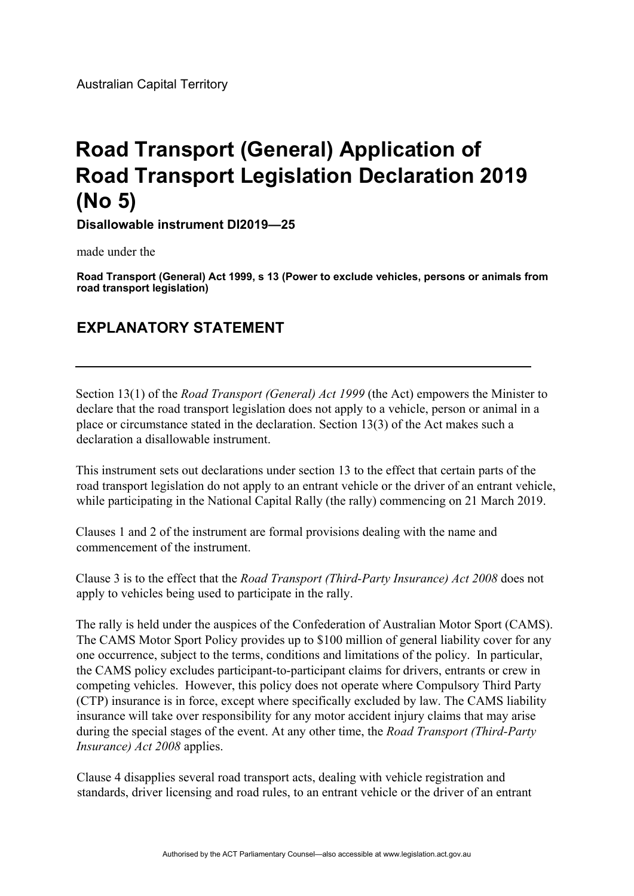Australian Capital Territory

## **Road Transport (General) Application of Road Transport Legislation Declaration 2019 (No 5)**

**Disallowable instrument DI2019—25** 

made under the

**Road Transport (General) Act 1999, s 13 (Power to exclude vehicles, persons or animals from road transport legislation)** 

## **EXPLANATORY STATEMENT**

Section 13(1) of the *Road Transport (General) Act 1999* (the Act) empowers the Minister to declare that the road transport legislation does not apply to a vehicle, person or animal in a place or circumstance stated in the declaration. Section 13(3) of the Act makes such a declaration a disallowable instrument.

This instrument sets out declarations under section 13 to the effect that certain parts of the road transport legislation do not apply to an entrant vehicle or the driver of an entrant vehicle, while participating in the National Capital Rally (the rally) commencing on 21 March 2019.

Clauses 1 and 2 of the instrument are formal provisions dealing with the name and commencement of the instrument.

Clause 3 is to the effect that the *Road Transport (Third-Party Insurance) Act 2008* does not apply to vehicles being used to participate in the rally.

The rally is held under the auspices of the Confederation of Australian Motor Sport (CAMS). The CAMS Motor Sport Policy provides up to \$100 million of general liability cover for any one occurrence, subject to the terms, conditions and limitations of the policy. In particular, the CAMS policy excludes participant-to-participant claims for drivers, entrants or crew in competing vehicles. However, this policy does not operate where Compulsory Third Party (CTP) insurance is in force, except where specifically excluded by law. The CAMS liability insurance will take over responsibility for any motor accident injury claims that may arise during the special stages of the event. At any other time, the *Road Transport (Third-Party Insurance) Act 2008* applies.

Clause 4 disapplies several road transport acts, dealing with vehicle registration and standards, driver licensing and road rules, to an entrant vehicle or the driver of an entrant